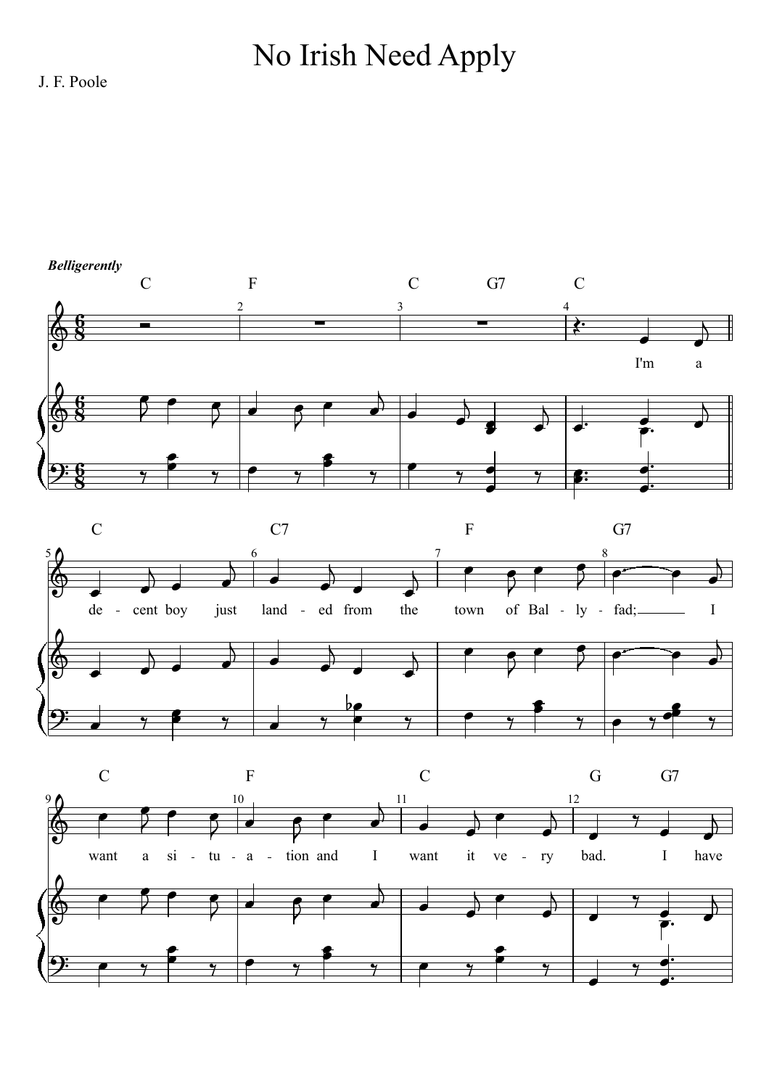#### No Irish Need Apply

J. F. Poole

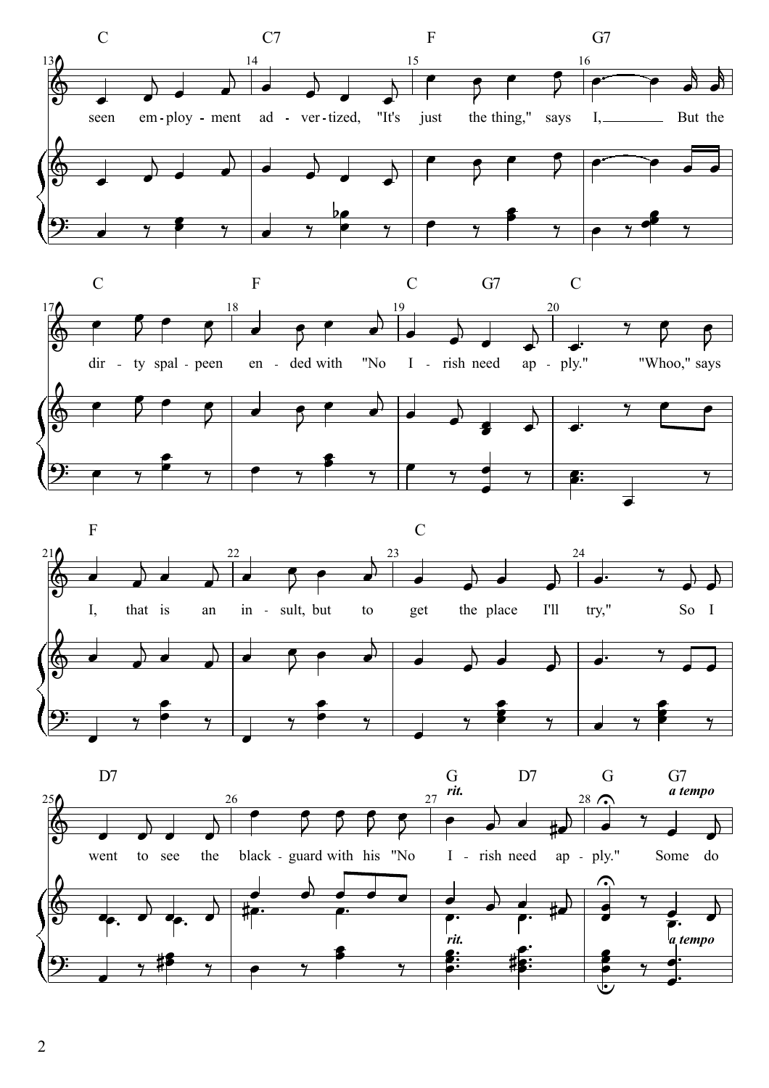





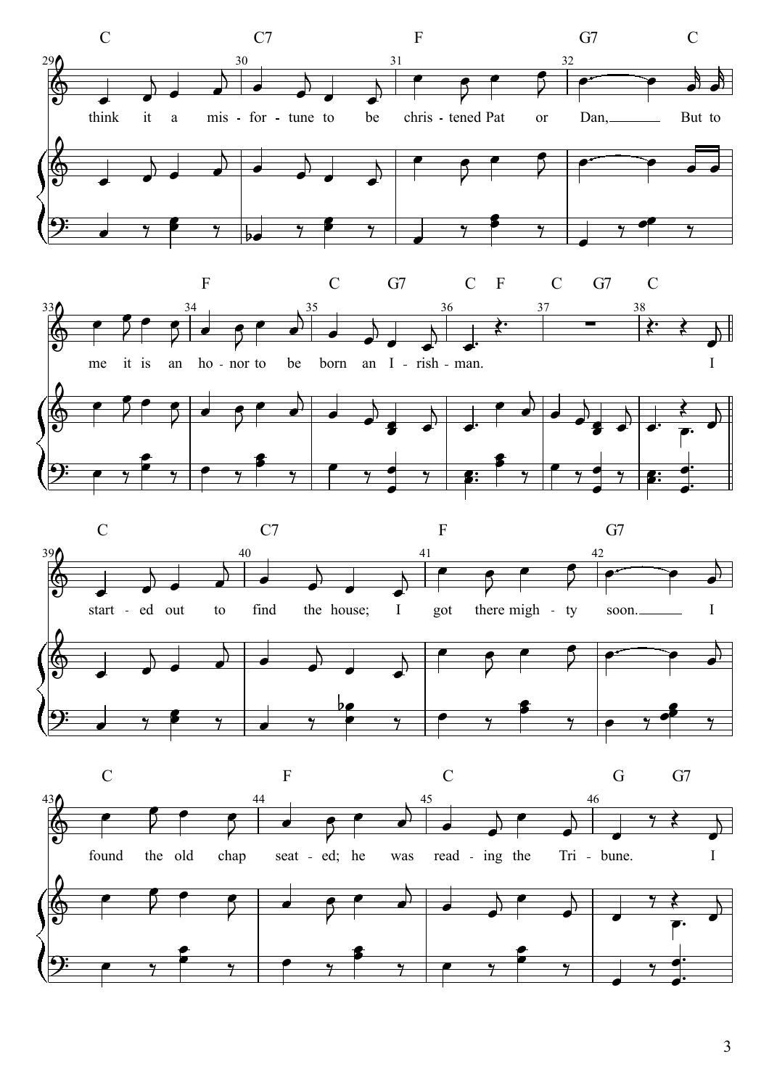







3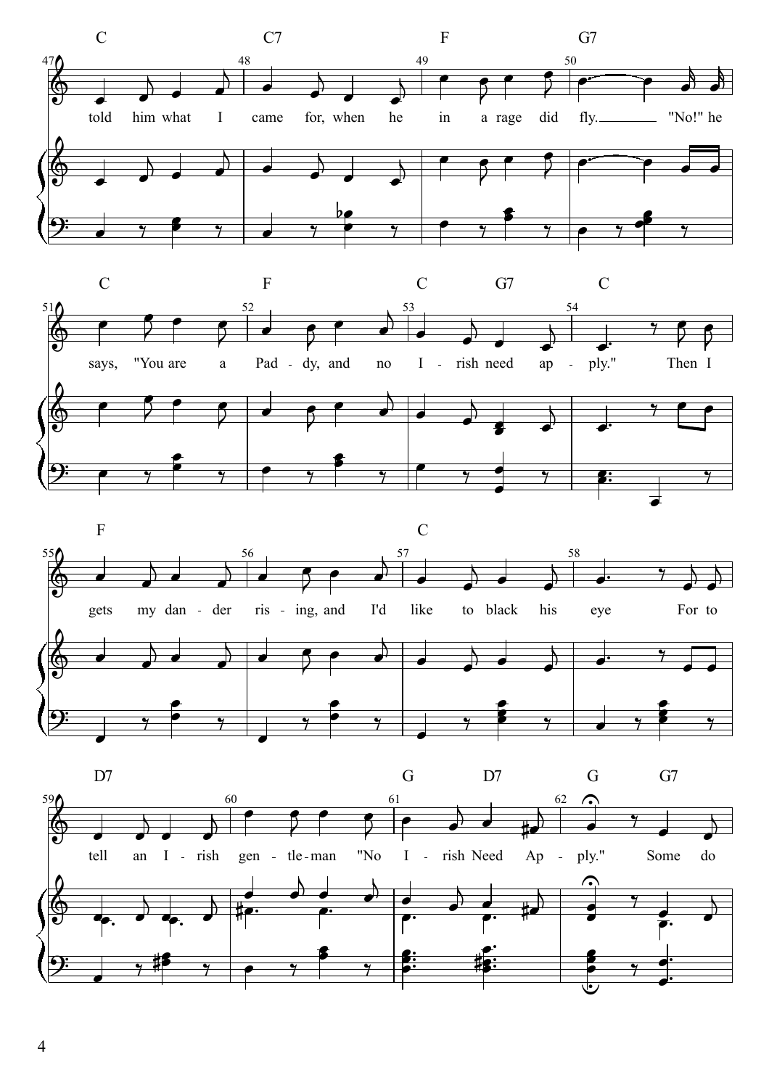





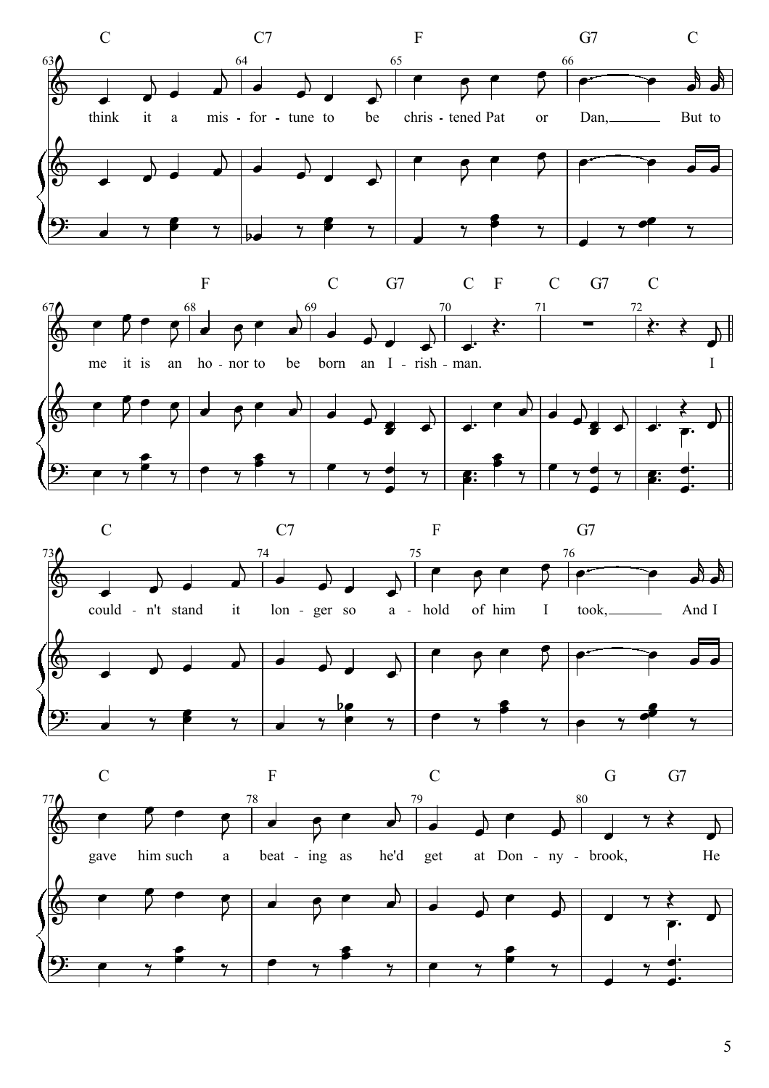





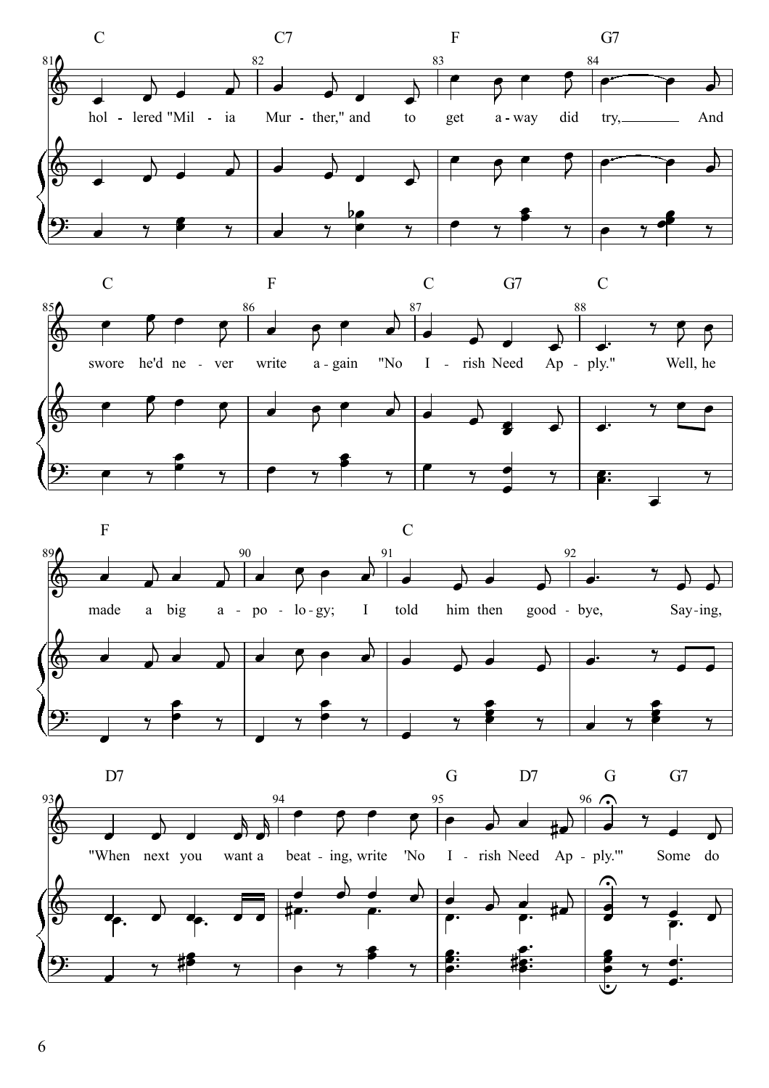





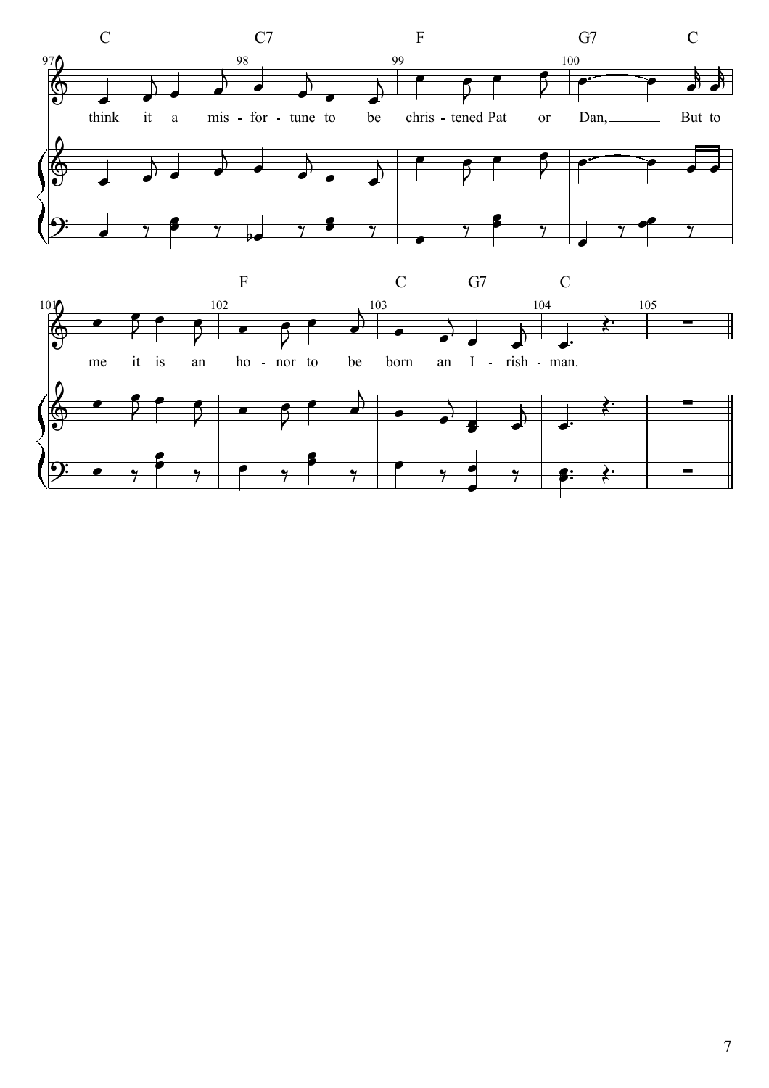

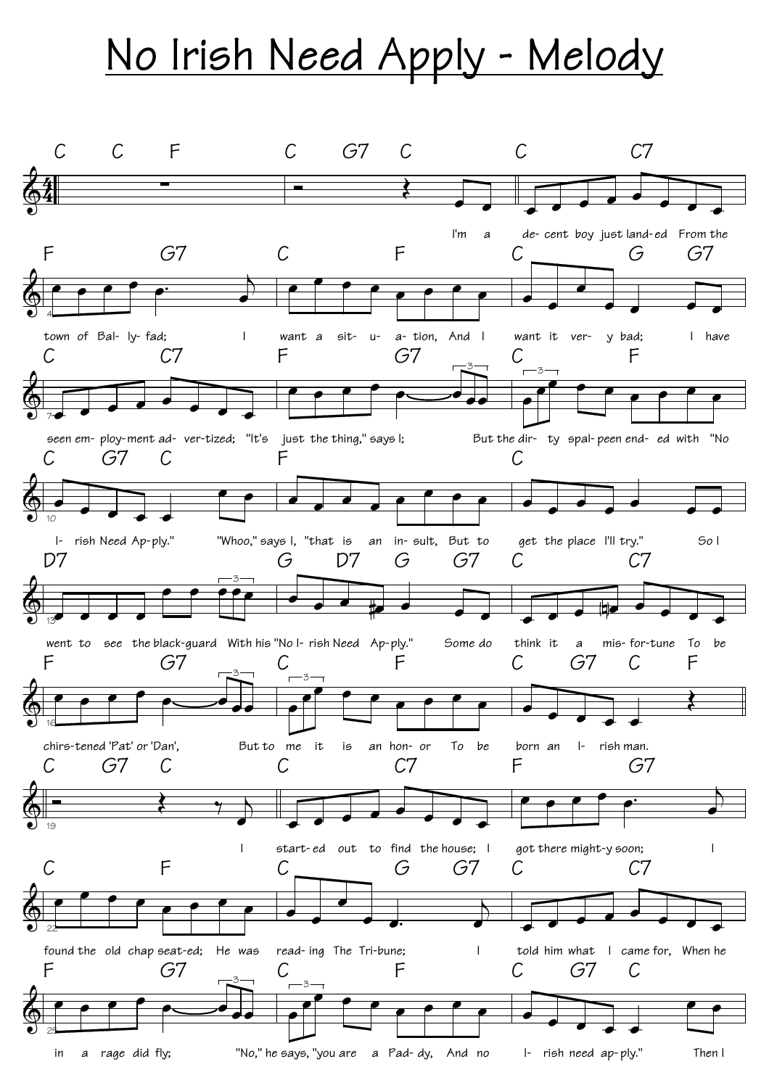## No Irish Need Apply - Melody

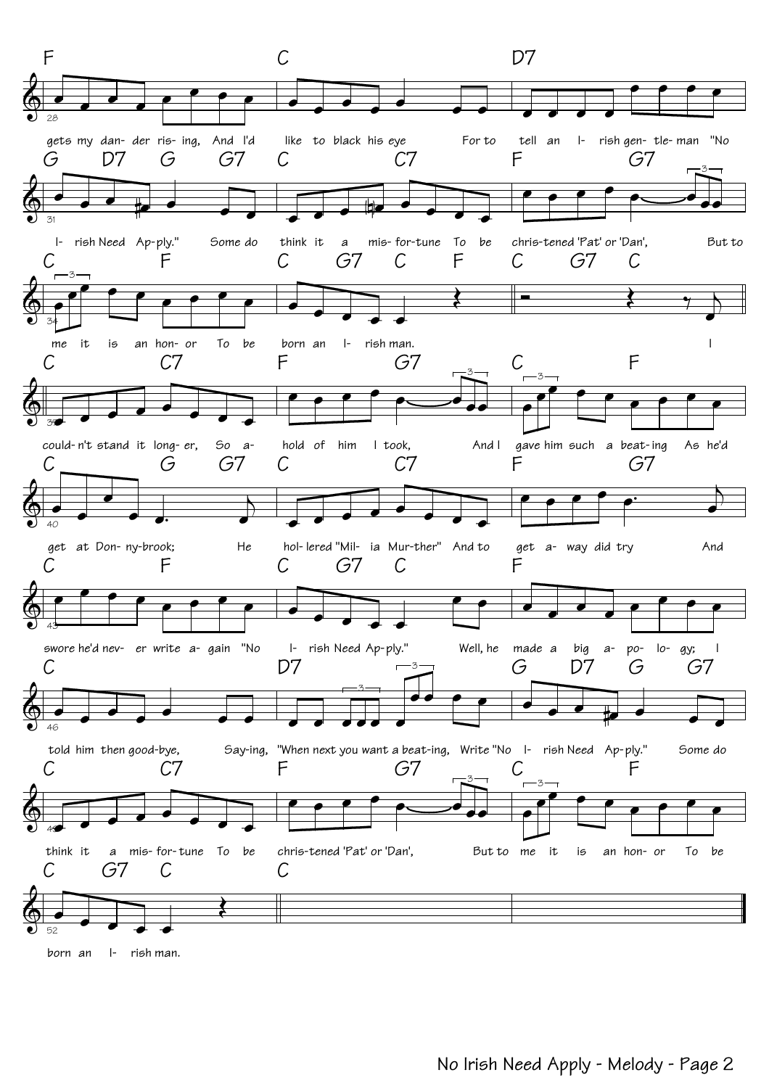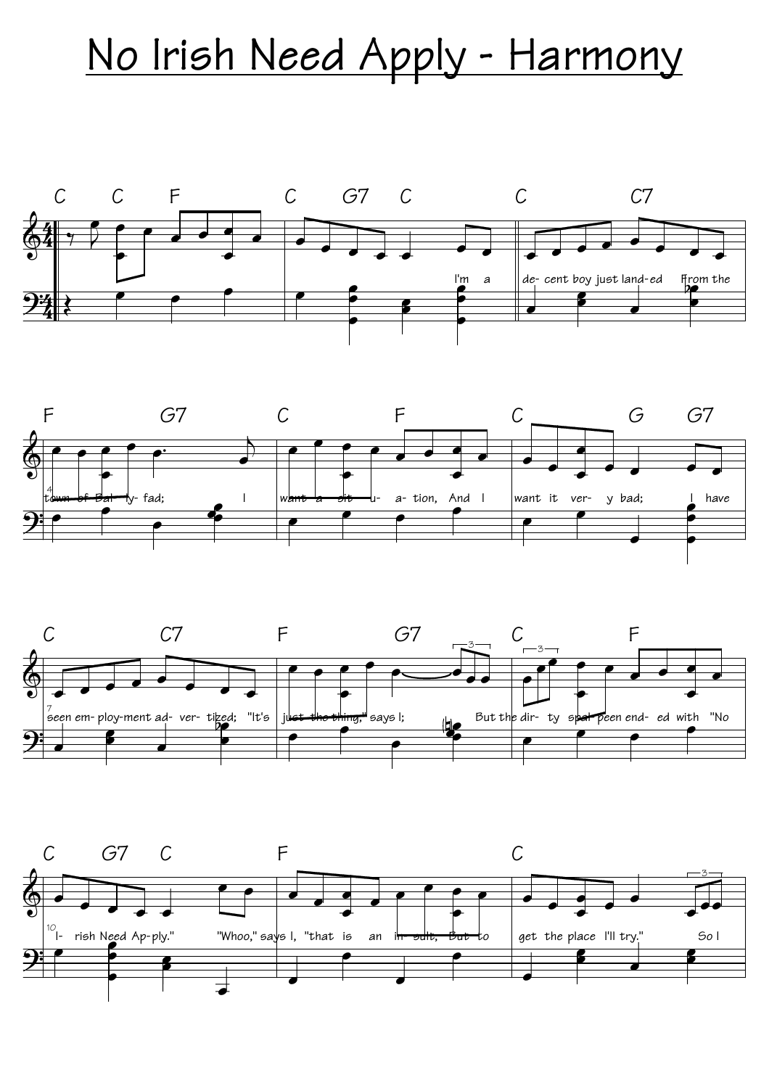### No Irish Need Apply - Harmony







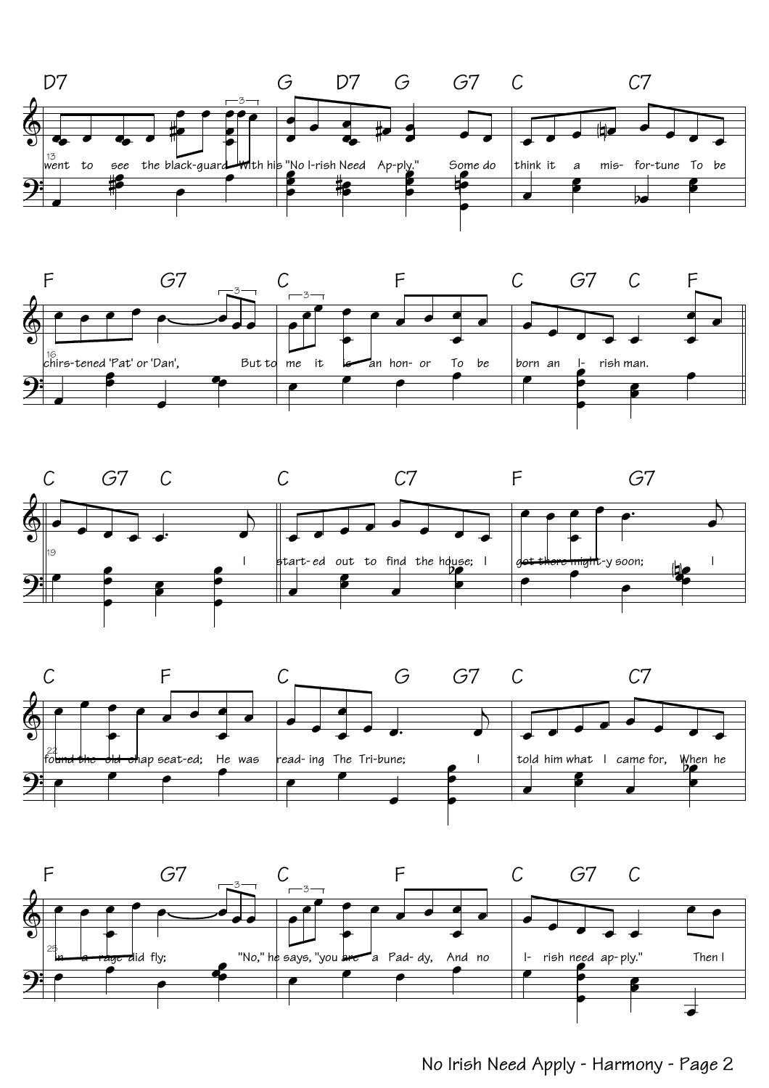









No Irish Need Apply - Harmony - Page 2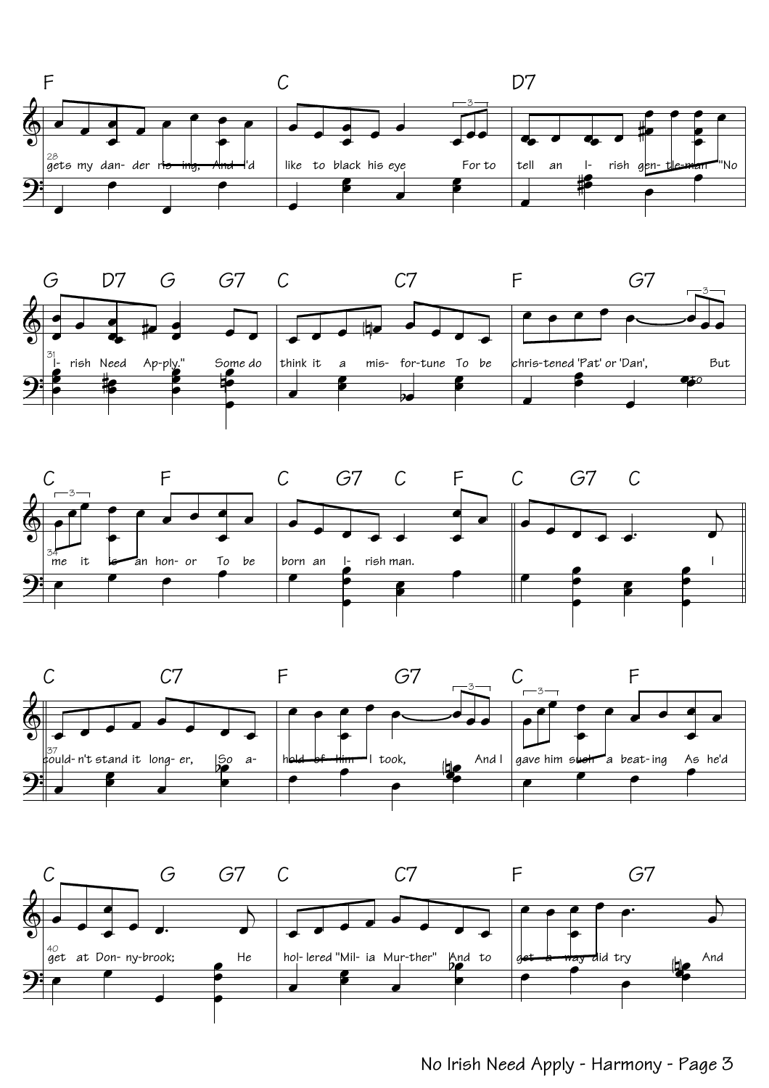









No Irish Need Apply - Harmony - Page 3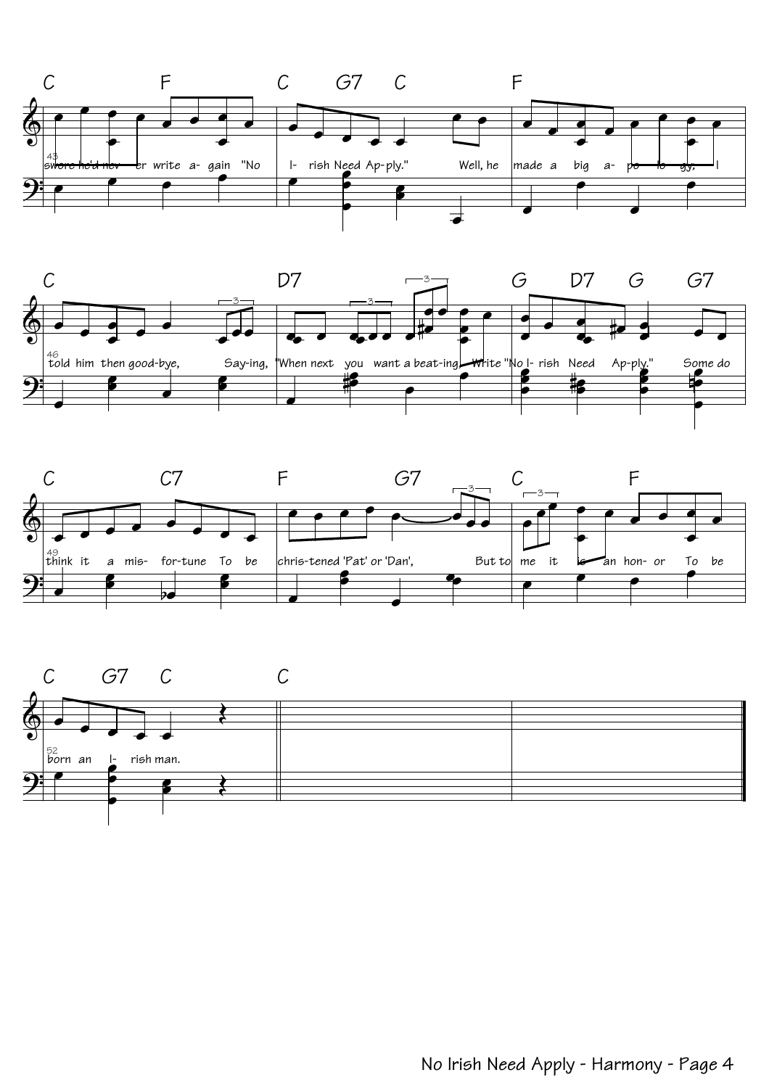







No Irish Need Apply - Harmony - Page 4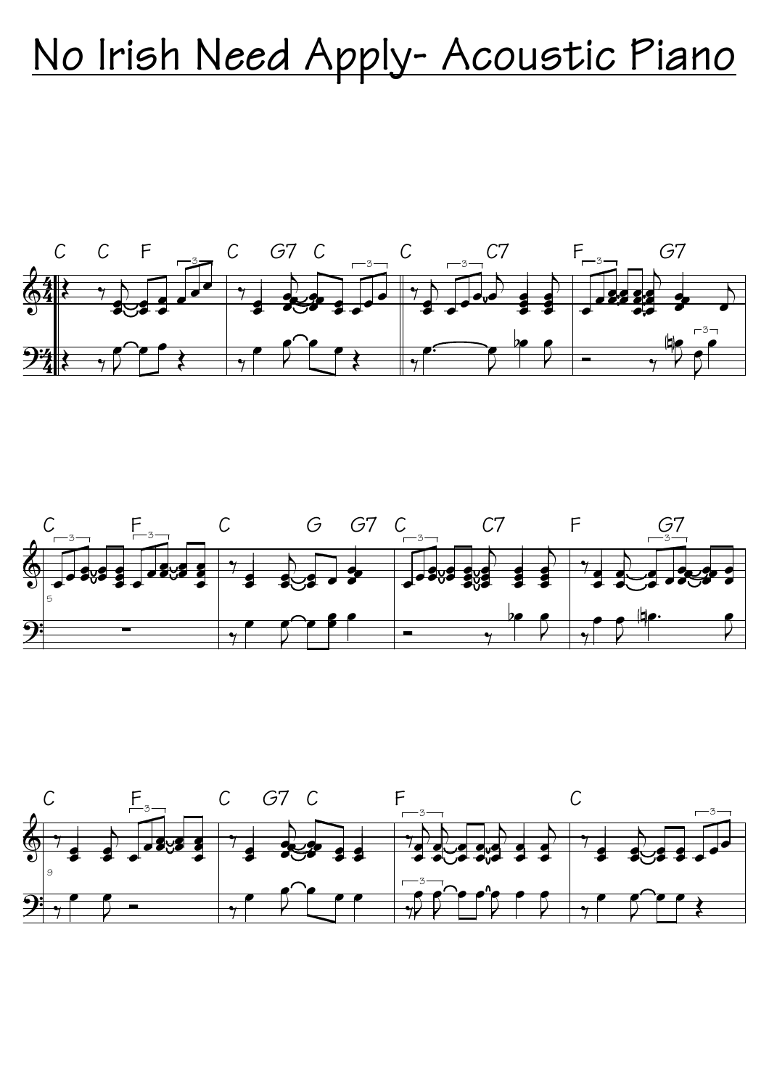#### No Irish Need Apply- Acoustic Piano





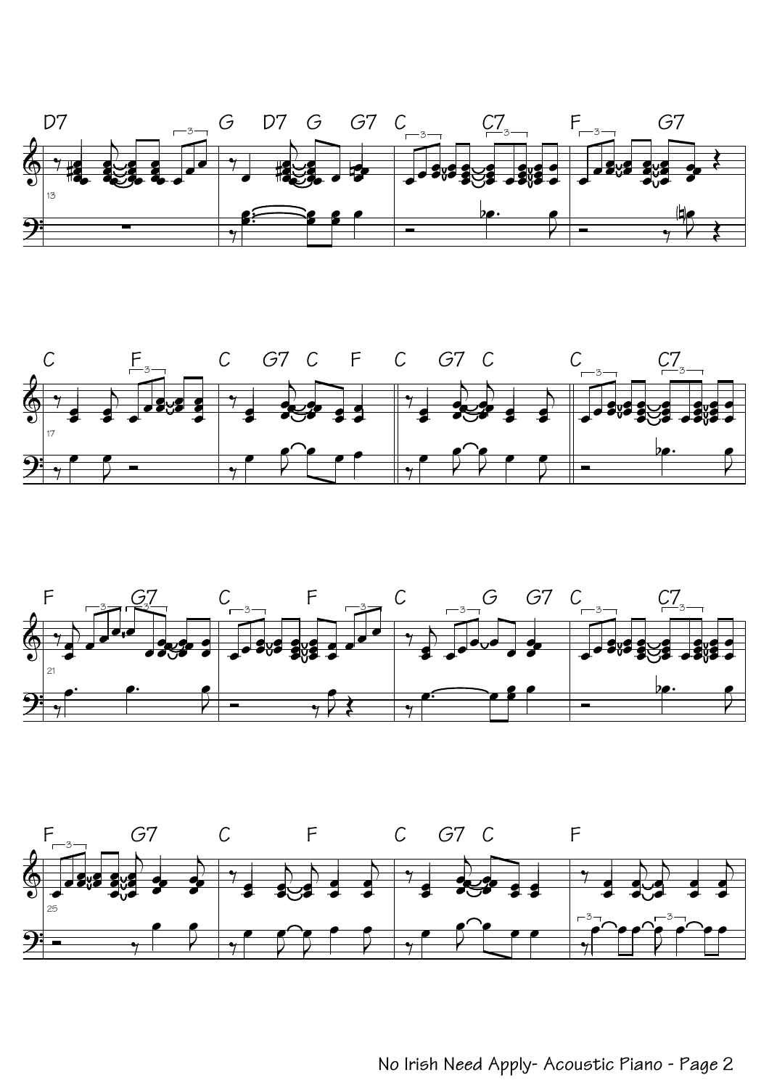







No Irish Need Apply- Acoustic Piano - Page 2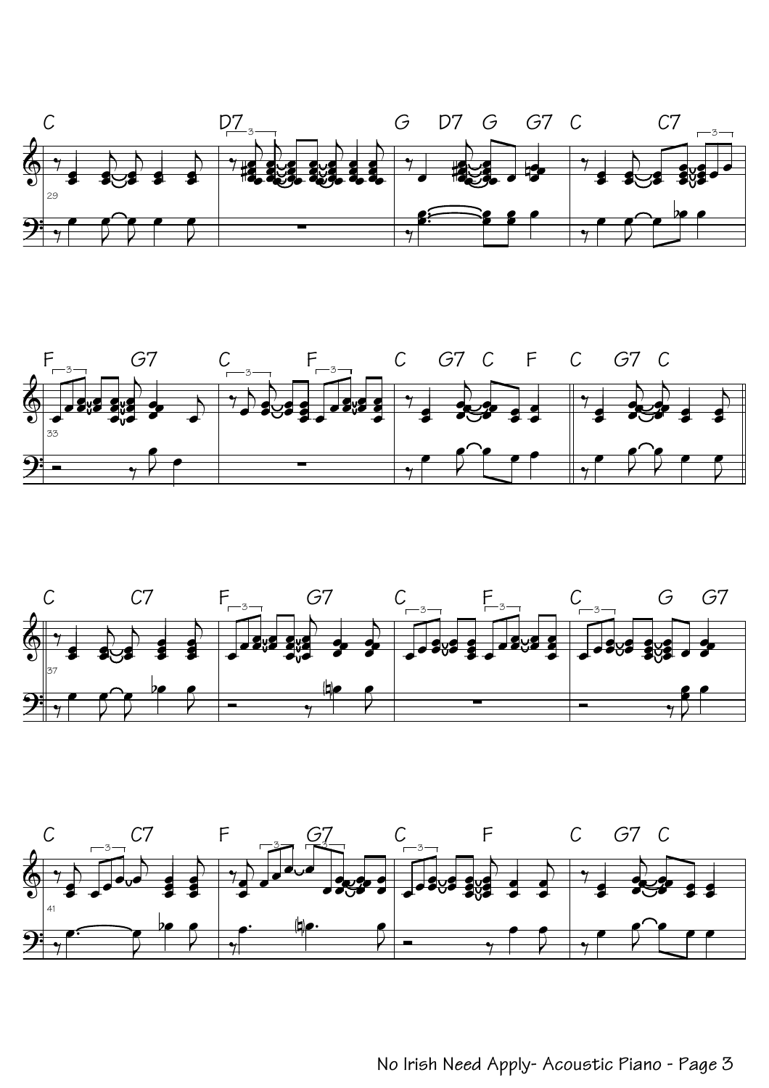







No Irish Need Apply- Acoustic Piano - Page 3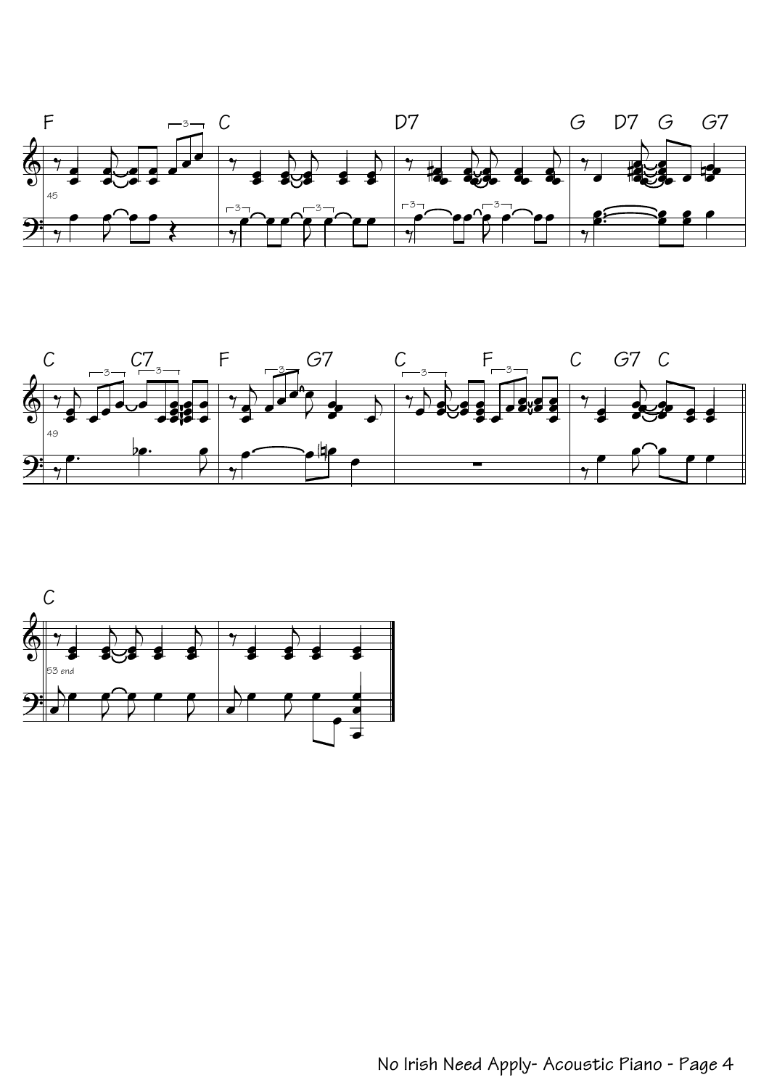



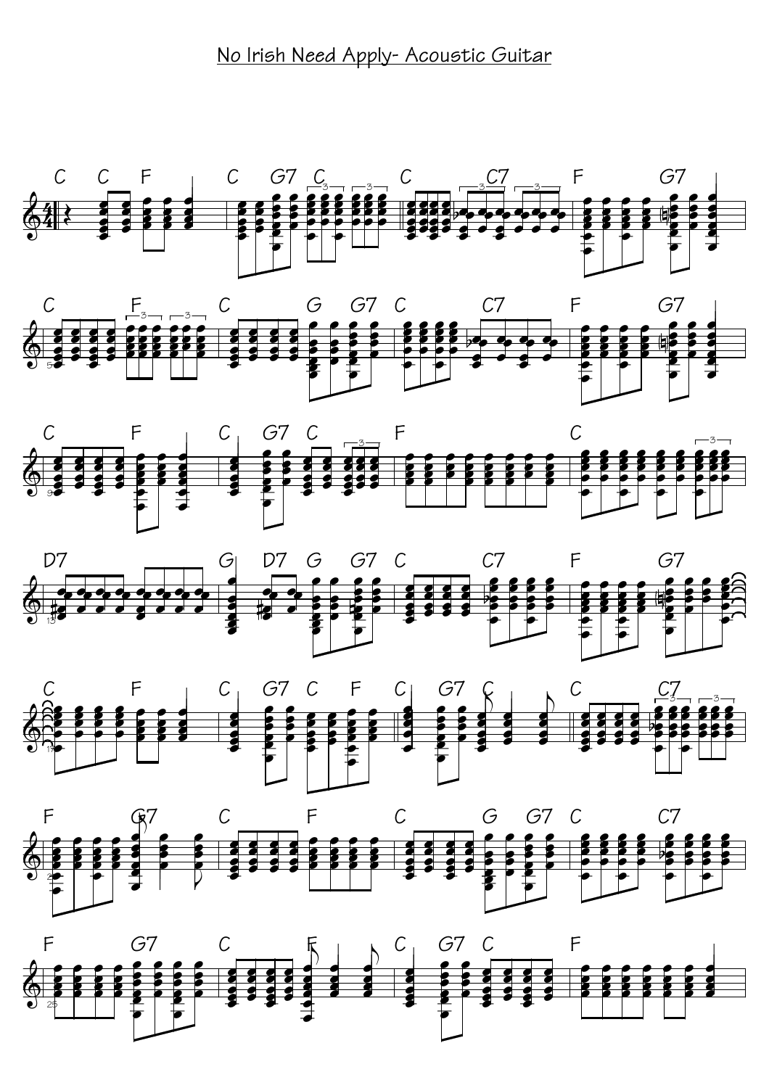#### No Irish Need Apply- Acoustic Guitar













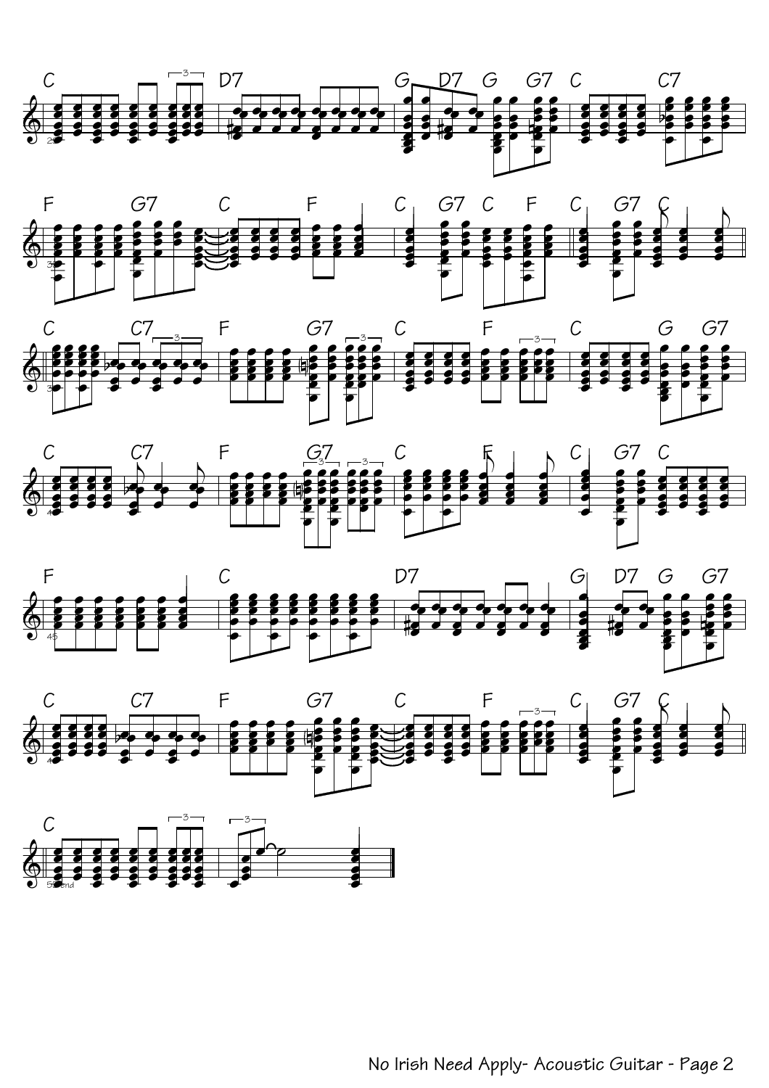











**J** 

\_Ð

**S** 

 $\ddot{\bm{s}}$ 

**S** 

\_Ð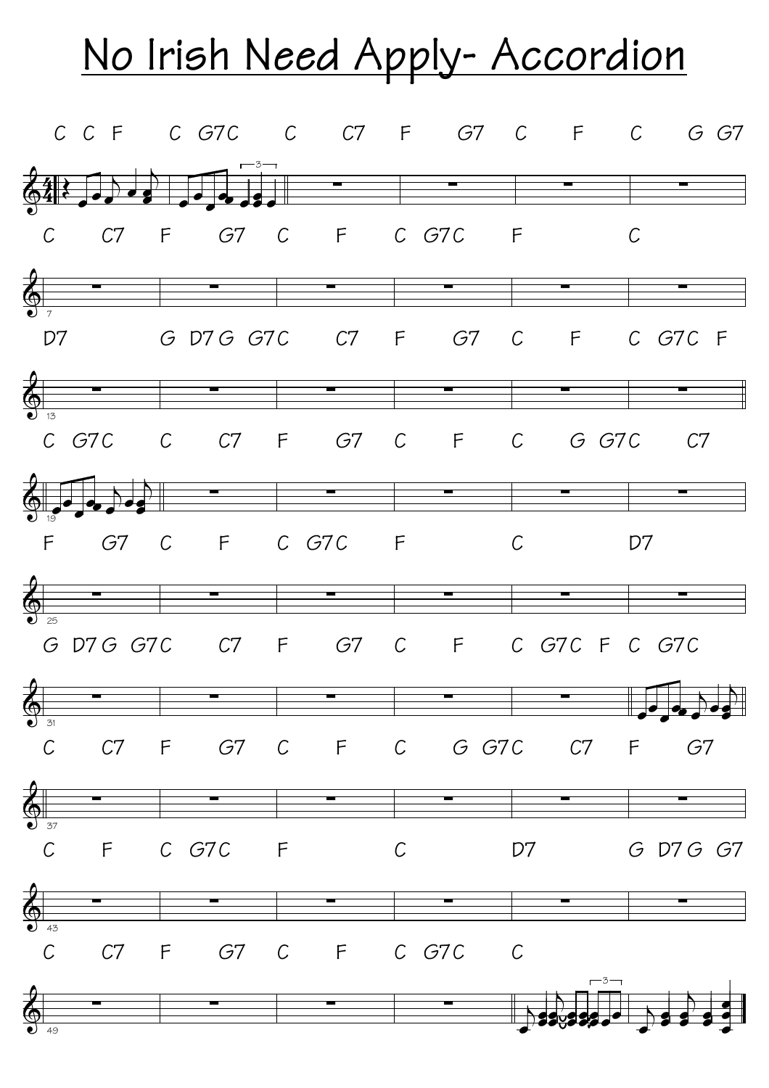# No Irish Need Apply- Accordion